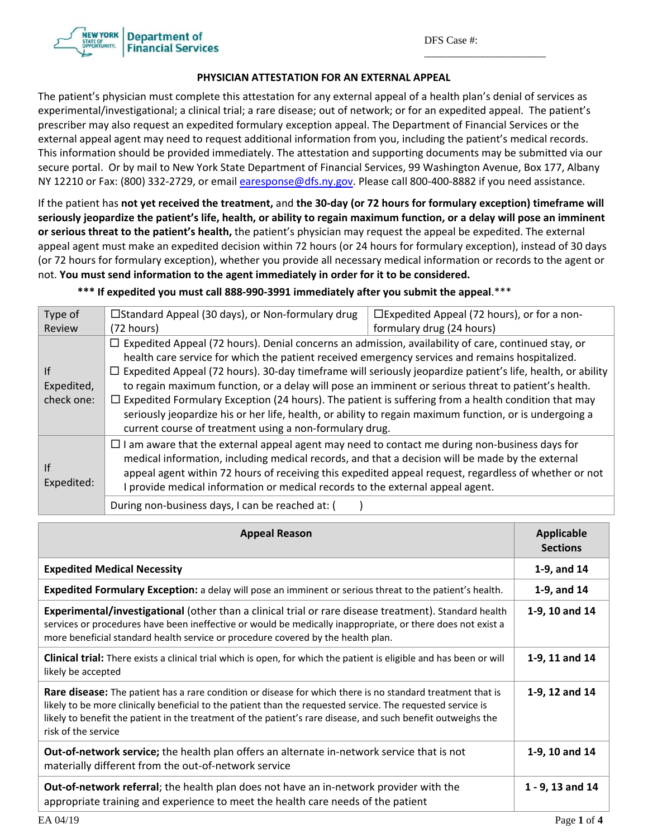DFS Case #:

\_\_\_\_\_\_\_\_\_\_\_\_\_\_\_\_\_\_\_\_\_\_\_



## **PHYSICIAN ATTESTATION FOR AN EXTERNAL APPEAL**

The patient's physician must complete this attestation for any external appeal of a health plan's denial of services as experimental/investigational; a clinical trial; a rare disease; out of network; or for an expedited appeal. The patient's prescriber may also request an expedited formulary exception appeal. The Department of Financial Services or the external appeal agent may need to request additional information from you, including the patient's medical records. This information should be provided immediately. The attestation and supporting documents may be submitted via our secure portal. Or by mail to New York State Department of Financial Services, 99 Washington Avenue, Box 177, Albany NY 12210 or Fax: (800) 332-2729, or email earesponse@dfs.ny.gov. Please call 800-400-8882 if you need assistance.

If the patient has not yet received the treatment, and the 30-day (or 72 hours for formulary exception) timeframe will seriously jeopardize the patient's life, health, or ability to regain maximum function, or a delay will pose an imminent **or serious threat to the patient's health,** the patient's physician may request the appeal be expedited. The external appeal agent must make an expedited decision within 72 hours (or 24 hours for formulary exception), instead of 30 days (or 72 hours for formulary exception), whether you provide all necessary medical information or records to the agent or not. **You must send information to the agent immediately in order for it to be considered.** 

## \*\*\* If expedited you must call 888-990-3991 immediately after you submit the appeal.\*\*\*

| Type of                        | □ Standard Appeal (30 days), or Non-formulary drug                                                                                                                                                                                                                                                                                                                                                                                                                                                                                                                                                                                                                                                                            | □Expedited Appeal (72 hours), or for a non- |  |  |  |
|--------------------------------|-------------------------------------------------------------------------------------------------------------------------------------------------------------------------------------------------------------------------------------------------------------------------------------------------------------------------------------------------------------------------------------------------------------------------------------------------------------------------------------------------------------------------------------------------------------------------------------------------------------------------------------------------------------------------------------------------------------------------------|---------------------------------------------|--|--|--|
| Review                         | (72 hours)                                                                                                                                                                                                                                                                                                                                                                                                                                                                                                                                                                                                                                                                                                                    | formulary drug (24 hours)                   |  |  |  |
| Ιf<br>Expedited,<br>check one: | $\Box$ Expedited Appeal (72 hours). Denial concerns an admission, availability of care, continued stay, or<br>health care service for which the patient received emergency services and remains hospitalized.<br>$\Box$ Expedited Appeal (72 hours). 30-day timeframe will seriously jeopardize patient's life, health, or ability<br>to regain maximum function, or a delay will pose an imminent or serious threat to patient's health.<br>$\Box$ Expedited Formulary Exception (24 hours). The patient is suffering from a health condition that may<br>seriously jeopardize his or her life, health, or ability to regain maximum function, or is undergoing a<br>current course of treatment using a non-formulary drug. |                                             |  |  |  |
| If<br>Expedited:               | $\Box$ I am aware that the external appeal agent may need to contact me during non-business days for<br>medical information, including medical records, and that a decision will be made by the external<br>appeal agent within 72 hours of receiving this expedited appeal request, regardless of whether or not<br>I provide medical information or medical records to the external appeal agent.<br>During non-business days, I can be reached at: (                                                                                                                                                                                                                                                                       |                                             |  |  |  |

| <b>Appeal Reason</b>                                                                                                                                                                                                                                                                                                                                             | <b>Applicable</b><br><b>Sections</b> |
|------------------------------------------------------------------------------------------------------------------------------------------------------------------------------------------------------------------------------------------------------------------------------------------------------------------------------------------------------------------|--------------------------------------|
| <b>Expedited Medical Necessity</b>                                                                                                                                                                                                                                                                                                                               | 1-9, and 14                          |
| Expedited Formulary Exception: a delay will pose an imminent or serious threat to the patient's health.                                                                                                                                                                                                                                                          | 1-9, and 14                          |
| Experimental/investigational (other than a clinical trial or rare disease treatment). Standard health<br>services or procedures have been ineffective or would be medically inappropriate, or there does not exist a<br>more beneficial standard health service or procedure covered by the health plan.                                                         | 1-9, 10 and 14                       |
| <b>Clinical trial:</b> There exists a clinical trial which is open, for which the patient is eligible and has been or will<br>likely be accepted                                                                                                                                                                                                                 | 1-9, 11 and 14                       |
| Rare disease: The patient has a rare condition or disease for which there is no standard treatment that is<br>likely to be more clinically beneficial to the patient than the requested service. The requested service is<br>likely to benefit the patient in the treatment of the patient's rare disease, and such benefit outweighs the<br>risk of the service | 1-9, 12 and 14                       |
| Out-of-network service; the health plan offers an alternate in-network service that is not<br>materially different from the out-of-network service                                                                                                                                                                                                               | 1-9, 10 and 14                       |
| <b>Out-of-network referral;</b> the health plan does not have an in-network provider with the<br>appropriate training and experience to meet the health care needs of the patient                                                                                                                                                                                | $1 - 9$ , 13 and 14                  |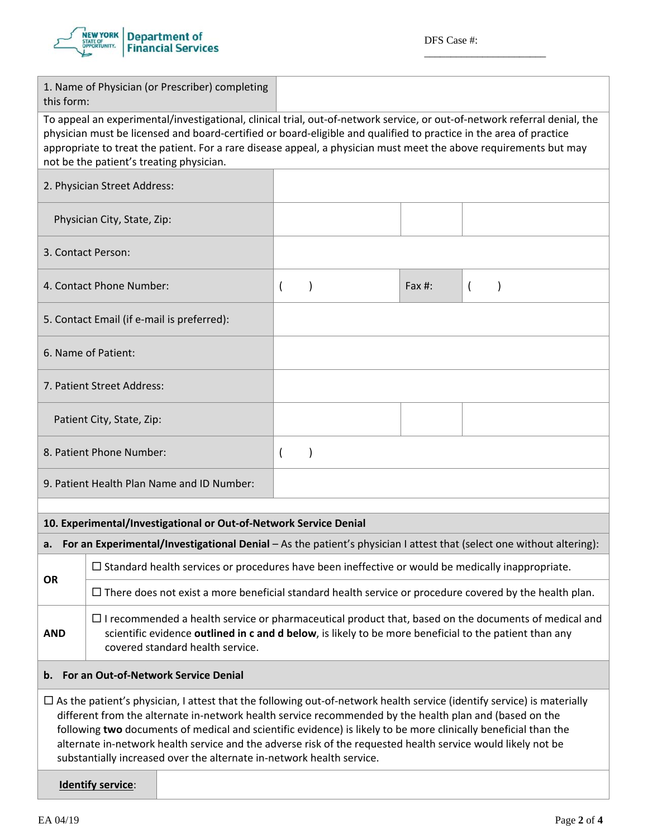

\_\_\_\_\_\_\_\_\_\_\_\_\_\_\_\_\_\_\_\_\_\_\_

|                                                                                                                                                                                                                                                                                                                                                                                                                                                                                                                                                      | 1. Name of Physician (or Prescriber) completing<br>this form:                                                                                                                                                                                             |                                                                                                                |                |               |           |  |  |  |
|------------------------------------------------------------------------------------------------------------------------------------------------------------------------------------------------------------------------------------------------------------------------------------------------------------------------------------------------------------------------------------------------------------------------------------------------------------------------------------------------------------------------------------------------------|-----------------------------------------------------------------------------------------------------------------------------------------------------------------------------------------------------------------------------------------------------------|----------------------------------------------------------------------------------------------------------------|----------------|---------------|-----------|--|--|--|
| To appeal an experimental/investigational, clinical trial, out-of-network service, or out-of-network referral denial, the<br>physician must be licensed and board-certified or board-eligible and qualified to practice in the area of practice<br>appropriate to treat the patient. For a rare disease appeal, a physician must meet the above requirements but may<br>not be the patient's treating physician.                                                                                                                                     |                                                                                                                                                                                                                                                           |                                                                                                                |                |               |           |  |  |  |
| 2. Physician Street Address:                                                                                                                                                                                                                                                                                                                                                                                                                                                                                                                         |                                                                                                                                                                                                                                                           |                                                                                                                |                |               |           |  |  |  |
| Physician City, State, Zip:                                                                                                                                                                                                                                                                                                                                                                                                                                                                                                                          |                                                                                                                                                                                                                                                           |                                                                                                                |                |               |           |  |  |  |
| 3. Contact Person:                                                                                                                                                                                                                                                                                                                                                                                                                                                                                                                                   |                                                                                                                                                                                                                                                           |                                                                                                                |                |               |           |  |  |  |
| 4. Contact Phone Number:                                                                                                                                                                                                                                                                                                                                                                                                                                                                                                                             |                                                                                                                                                                                                                                                           |                                                                                                                |                |               | Fax $#$ : |  |  |  |
| 5. Contact Email (if e-mail is preferred):                                                                                                                                                                                                                                                                                                                                                                                                                                                                                                           |                                                                                                                                                                                                                                                           |                                                                                                                |                |               |           |  |  |  |
| 6. Name of Patient:                                                                                                                                                                                                                                                                                                                                                                                                                                                                                                                                  |                                                                                                                                                                                                                                                           |                                                                                                                |                |               |           |  |  |  |
| 7. Patient Street Address:                                                                                                                                                                                                                                                                                                                                                                                                                                                                                                                           |                                                                                                                                                                                                                                                           |                                                                                                                |                |               |           |  |  |  |
| Patient City, State, Zip:                                                                                                                                                                                                                                                                                                                                                                                                                                                                                                                            |                                                                                                                                                                                                                                                           |                                                                                                                |                |               |           |  |  |  |
| 8. Patient Phone Number:                                                                                                                                                                                                                                                                                                                                                                                                                                                                                                                             |                                                                                                                                                                                                                                                           |                                                                                                                | $\overline{ }$ | $\mathcal{E}$ |           |  |  |  |
| 9. Patient Health Plan Name and ID Number:                                                                                                                                                                                                                                                                                                                                                                                                                                                                                                           |                                                                                                                                                                                                                                                           |                                                                                                                |                |               |           |  |  |  |
| 10. Experimental/Investigational or Out-of-Network Service Denial                                                                                                                                                                                                                                                                                                                                                                                                                                                                                    |                                                                                                                                                                                                                                                           |                                                                                                                |                |               |           |  |  |  |
| a. For an Experimental/Investigational Denial - As the patient's physician I attest that (select one without altering):                                                                                                                                                                                                                                                                                                                                                                                                                              |                                                                                                                                                                                                                                                           |                                                                                                                |                |               |           |  |  |  |
|                                                                                                                                                                                                                                                                                                                                                                                                                                                                                                                                                      | $\Box$ Standard health services or procedures have been ineffective or would be medically inappropriate.                                                                                                                                                  |                                                                                                                |                |               |           |  |  |  |
| <b>OR</b>                                                                                                                                                                                                                                                                                                                                                                                                                                                                                                                                            |                                                                                                                                                                                                                                                           | $\Box$ There does not exist a more beneficial standard health service or procedure covered by the health plan. |                |               |           |  |  |  |
| <b>AND</b>                                                                                                                                                                                                                                                                                                                                                                                                                                                                                                                                           | $\Box$ I recommended a health service or pharmaceutical product that, based on the documents of medical and<br>scientific evidence outlined in c and d below, is likely to be more beneficial to the patient than any<br>covered standard health service. |                                                                                                                |                |               |           |  |  |  |
| For an Out-of-Network Service Denial<br>b.                                                                                                                                                                                                                                                                                                                                                                                                                                                                                                           |                                                                                                                                                                                                                                                           |                                                                                                                |                |               |           |  |  |  |
| $\Box$ As the patient's physician, I attest that the following out-of-network health service (identify service) is materially<br>different from the alternate in-network health service recommended by the health plan and (based on the<br>following two documents of medical and scientific evidence) is likely to be more clinically beneficial than the<br>alternate in-network health service and the adverse risk of the requested health service would likely not be<br>substantially increased over the alternate in-network health service. |                                                                                                                                                                                                                                                           |                                                                                                                |                |               |           |  |  |  |
|                                                                                                                                                                                                                                                                                                                                                                                                                                                                                                                                                      | <b>Identify service:</b>                                                                                                                                                                                                                                  |                                                                                                                |                |               |           |  |  |  |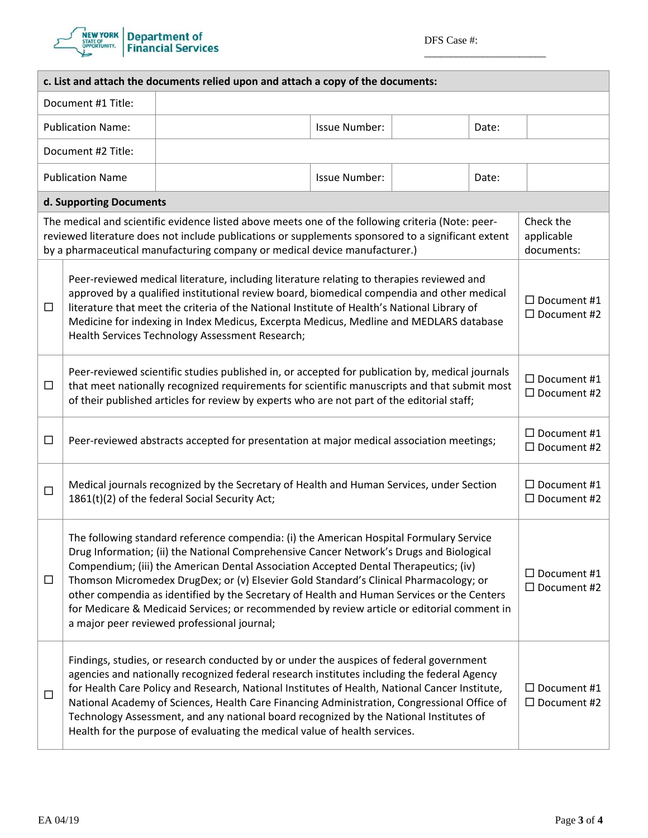

\_\_\_\_\_\_\_\_\_\_\_\_\_\_\_\_\_\_\_\_\_\_\_

| c. List and attach the documents relied upon and attach a copy of the documents:                                                                                                                                                                                                                                               |                                                                                                                                                                                                                                                                                                                                                                                                                                                                                                                                                                                                                |  |                      |  |       |                                          |  |  |
|--------------------------------------------------------------------------------------------------------------------------------------------------------------------------------------------------------------------------------------------------------------------------------------------------------------------------------|----------------------------------------------------------------------------------------------------------------------------------------------------------------------------------------------------------------------------------------------------------------------------------------------------------------------------------------------------------------------------------------------------------------------------------------------------------------------------------------------------------------------------------------------------------------------------------------------------------------|--|----------------------|--|-------|------------------------------------------|--|--|
| Document #1 Title:                                                                                                                                                                                                                                                                                                             |                                                                                                                                                                                                                                                                                                                                                                                                                                                                                                                                                                                                                |  |                      |  |       |                                          |  |  |
|                                                                                                                                                                                                                                                                                                                                | <b>Publication Name:</b>                                                                                                                                                                                                                                                                                                                                                                                                                                                                                                                                                                                       |  | <b>Issue Number:</b> |  | Date: |                                          |  |  |
| Document #2 Title:                                                                                                                                                                                                                                                                                                             |                                                                                                                                                                                                                                                                                                                                                                                                                                                                                                                                                                                                                |  |                      |  |       |                                          |  |  |
|                                                                                                                                                                                                                                                                                                                                | <b>Issue Number:</b><br><b>Publication Name</b><br>Date:                                                                                                                                                                                                                                                                                                                                                                                                                                                                                                                                                       |  |                      |  |       |                                          |  |  |
|                                                                                                                                                                                                                                                                                                                                | d. Supporting Documents                                                                                                                                                                                                                                                                                                                                                                                                                                                                                                                                                                                        |  |                      |  |       |                                          |  |  |
| The medical and scientific evidence listed above meets one of the following criteria (Note: peer-<br>Check the<br>reviewed literature does not include publications or supplements sponsored to a significant extent<br>applicable<br>by a pharmaceutical manufacturing company or medical device manufacturer.)<br>documents: |                                                                                                                                                                                                                                                                                                                                                                                                                                                                                                                                                                                                                |  |                      |  |       |                                          |  |  |
| $\Box$                                                                                                                                                                                                                                                                                                                         | Peer-reviewed medical literature, including literature relating to therapies reviewed and<br>approved by a qualified institutional review board, biomedical compendia and other medical<br>$\Box$ Document #1<br>literature that meet the criteria of the National Institute of Health's National Library of<br>$\Box$ Document #2<br>Medicine for indexing in Index Medicus, Excerpta Medicus, Medline and MEDLARS database<br>Health Services Technology Assessment Research;                                                                                                                                |  |                      |  |       |                                          |  |  |
| $\Box$                                                                                                                                                                                                                                                                                                                         | Peer-reviewed scientific studies published in, or accepted for publication by, medical journals<br>$\Box$ Document #1<br>that meet nationally recognized requirements for scientific manuscripts and that submit most<br>$\Box$ Document #2<br>of their published articles for review by experts who are not part of the editorial staff;                                                                                                                                                                                                                                                                      |  |                      |  |       |                                          |  |  |
| $\Box$                                                                                                                                                                                                                                                                                                                         | $\Box$ Document #1<br>Peer-reviewed abstracts accepted for presentation at major medical association meetings;<br>$\Box$ Document #2                                                                                                                                                                                                                                                                                                                                                                                                                                                                           |  |                      |  |       |                                          |  |  |
| $\Box$                                                                                                                                                                                                                                                                                                                         | Medical journals recognized by the Secretary of Health and Human Services, under Section<br>$\Box$ Document #1<br>1861(t)(2) of the federal Social Security Act;<br>$\Box$ Document #2                                                                                                                                                                                                                                                                                                                                                                                                                         |  |                      |  |       |                                          |  |  |
| $\Box$                                                                                                                                                                                                                                                                                                                         | The following standard reference compendia: (i) the American Hospital Formulary Service<br>Drug Information; (ii) the National Comprehensive Cancer Network's Drugs and Biological<br>Compendium; (iii) the American Dental Association Accepted Dental Therapeutics; (iv)<br>Thomson Micromedex DrugDex; or (v) Elsevier Gold Standard's Clinical Pharmacology; or<br>other compendia as identified by the Secretary of Health and Human Services or the Centers<br>for Medicare & Medicaid Services; or recommended by review article or editorial comment in<br>a major peer reviewed professional journal; |  |                      |  |       | $\Box$ Document #1<br>$\Box$ Document #2 |  |  |
| $\Box$                                                                                                                                                                                                                                                                                                                         | Findings, studies, or research conducted by or under the auspices of federal government<br>agencies and nationally recognized federal research institutes including the federal Agency<br>for Health Care Policy and Research, National Institutes of Health, National Cancer Institute,<br>National Academy of Sciences, Health Care Financing Administration, Congressional Office of<br>Technology Assessment, and any national board recognized by the National Institutes of<br>Health for the purpose of evaluating the medical value of health services.                                                |  |                      |  |       | $\Box$ Document #1<br>$\Box$ Document #2 |  |  |